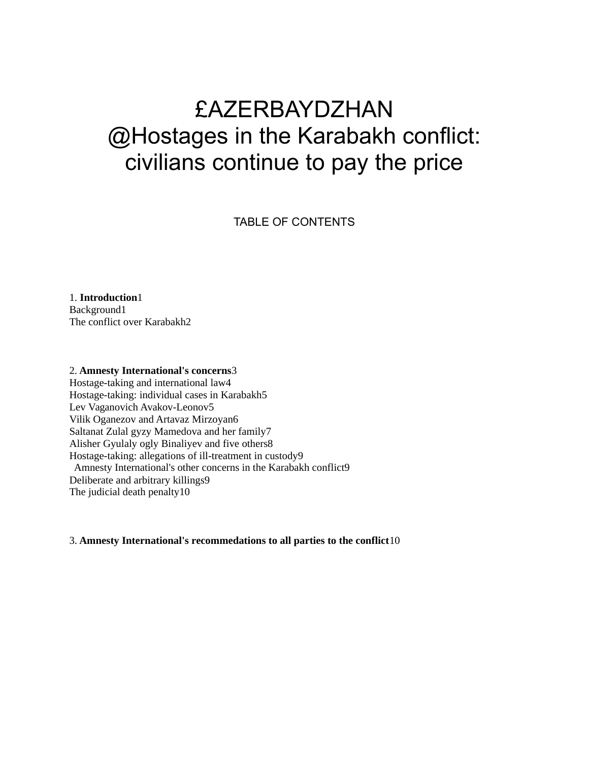# £AZERBAYDZHAN @Hostages in the Karabakh conflict: civilians continue to pay the price

TABLE OF CONTENTS

1. **Introduction**1 Background1 The conflict over Karabakh2

# 2. **Amnesty International's concerns**3

Hostage-taking and international law4 Hostage-taking: individual cases in Karabakh5 Lev Vaganovich Avakov-Leonov5 Vilik Oganezov and Artavaz Mirzoyan6 Saltanat Zulal gyzy Mamedova and her family7 Alisher Gyulaly ogly Binaliyev and five others8 Hostage-taking: allegations of ill-treatment in custody9 Amnesty International's other concerns in the Karabakh conflict9 Deliberate and arbitrary killings9 The judicial death penalty10

#### 3. **Amnesty International's recommedations to all parties to the conflict**10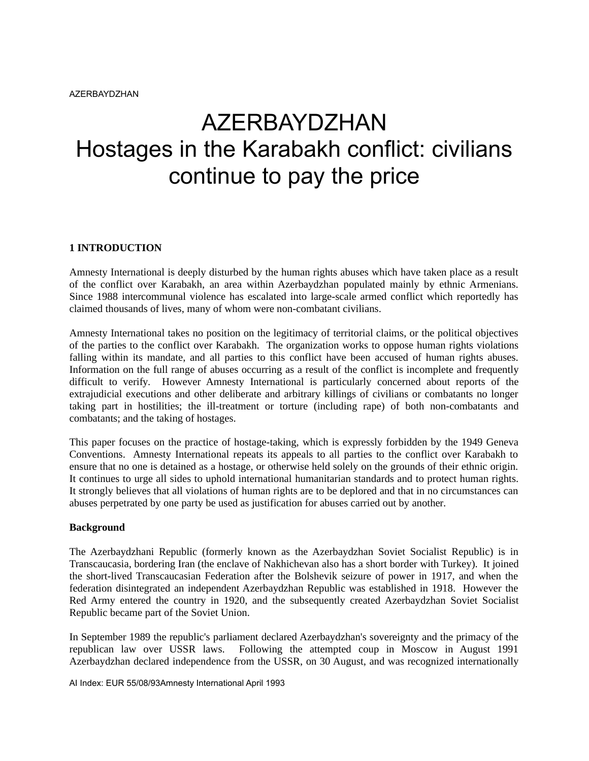# AZERBAYDZHAN Hostages in the Karabakh conflict: civilians continue to pay the price

## **1 INTRODUCTION**

Amnesty International is deeply disturbed by the human rights abuses which have taken place as a result of the conflict over Karabakh, an area within Azerbaydzhan populated mainly by ethnic Armenians. Since 1988 intercommunal violence has escalated into large-scale armed conflict which reportedly has claimed thousands of lives, many of whom were non-combatant civilians.

Amnesty International takes no position on the legitimacy of territorial claims, or the political objectives of the parties to the conflict over Karabakh. The organization works to oppose human rights violations falling within its mandate, and all parties to this conflict have been accused of human rights abuses. Information on the full range of abuses occurring as a result of the conflict is incomplete and frequently difficult to verify. However Amnesty International is particularly concerned about reports of the extrajudicial executions and other deliberate and arbitrary killings of civilians or combatants no longer taking part in hostilities; the ill-treatment or torture (including rape) of both non-combatants and combatants; and the taking of hostages.

This paper focuses on the practice of hostage-taking, which is expressly forbidden by the 1949 Geneva Conventions. Amnesty International repeats its appeals to all parties to the conflict over Karabakh to ensure that no one is detained as a hostage, or otherwise held solely on the grounds of their ethnic origin. It continues to urge all sides to uphold international humanitarian standards and to protect human rights. It strongly believes that all violations of human rights are to be deplored and that in no circumstances can abuses perpetrated by one party be used as justification for abuses carried out by another.

#### **Background**

The Azerbaydzhani Republic (formerly known as the Azerbaydzhan Soviet Socialist Republic) is in Transcaucasia, bordering Iran (the enclave of Nakhichevan also has a short border with Turkey). It joined the short-lived Transcaucasian Federation after the Bolshevik seizure of power in 1917, and when the federation disintegrated an independent Azerbaydzhan Republic was established in 1918. However the Red Army entered the country in 1920, and the subsequently created Azerbaydzhan Soviet Socialist Republic became part of the Soviet Union.

In September 1989 the republic's parliament declared Azerbaydzhan's sovereignty and the primacy of the republican law over USSR laws. Following the attempted coup in Moscow in August 1991 Azerbaydzhan declared independence from the USSR, on 30 August, and was recognized internationally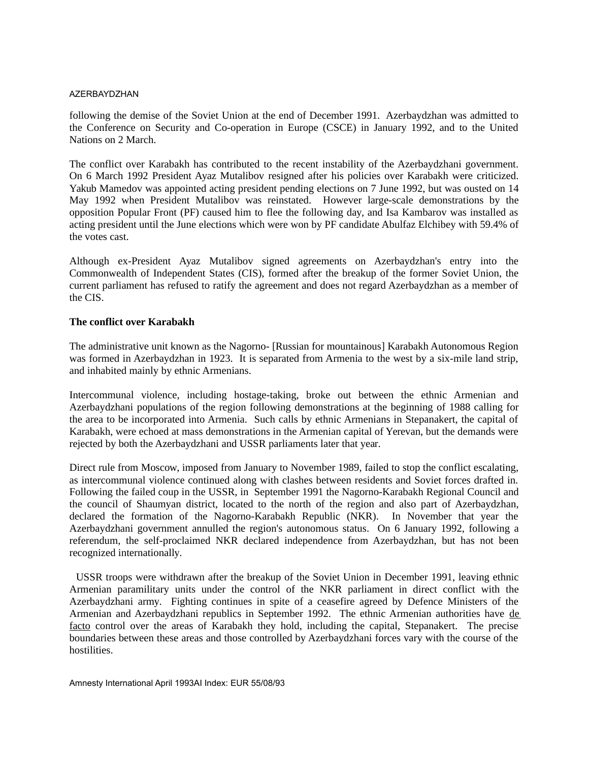following the demise of the Soviet Union at the end of December 1991. Azerbaydzhan was admitted to the Conference on Security and Co-operation in Europe (CSCE) in January 1992, and to the United Nations on 2 March.

The conflict over Karabakh has contributed to the recent instability of the Azerbaydzhani government. On 6 March 1992 President Ayaz Mutalibov resigned after his policies over Karabakh were criticized. Yakub Mamedov was appointed acting president pending elections on 7 June 1992, but was ousted on 14 May 1992 when President Mutalibov was reinstated. However large-scale demonstrations by the opposition Popular Front (PF) caused him to flee the following day, and Isa Kambarov was installed as acting president until the June elections which were won by PF candidate Abulfaz Elchibey with 59.4% of the votes cast.

Although ex-President Ayaz Mutalibov signed agreements on Azerbaydzhan's entry into the Commonwealth of Independent States (CIS), formed after the breakup of the former Soviet Union, the current parliament has refused to ratify the agreement and does not regard Azerbaydzhan as a member of the CIS.

## **The conflict over Karabakh**

The administrative unit known as the Nagorno- [Russian for mountainous] Karabakh Autonomous Region was formed in Azerbaydzhan in 1923. It is separated from Armenia to the west by a six-mile land strip, and inhabited mainly by ethnic Armenians.

Intercommunal violence, including hostage-taking, broke out between the ethnic Armenian and Azerbaydzhani populations of the region following demonstrations at the beginning of 1988 calling for the area to be incorporated into Armenia. Such calls by ethnic Armenians in Stepanakert, the capital of Karabakh, were echoed at mass demonstrations in the Armenian capital of Yerevan, but the demands were rejected by both the Azerbaydzhani and USSR parliaments later that year.

Direct rule from Moscow, imposed from January to November 1989, failed to stop the conflict escalating, as intercommunal violence continued along with clashes between residents and Soviet forces drafted in. Following the failed coup in the USSR, in September 1991 the Nagorno-Karabakh Regional Council and the council of Shaumyan district, located to the north of the region and also part of Azerbaydzhan, declared the formation of the Nagorno-Karabakh Republic (NKR). In November that year the Azerbaydzhani government annulled the region's autonomous status. On 6 January 1992, following a referendum, the self-proclaimed NKR declared independence from Azerbaydzhan, but has not been recognized internationally.

 USSR troops were withdrawn after the breakup of the Soviet Union in December 1991, leaving ethnic Armenian paramilitary units under the control of the NKR parliament in direct conflict with the Azerbaydzhani army. Fighting continues in spite of a ceasefire agreed by Defence Ministers of the Armenian and Azerbaydzhani republics in September 1992. The ethnic Armenian authorities have de facto control over the areas of Karabakh they hold, including the capital, Stepanakert. The precise boundaries between these areas and those controlled by Azerbaydzhani forces vary with the course of the hostilities.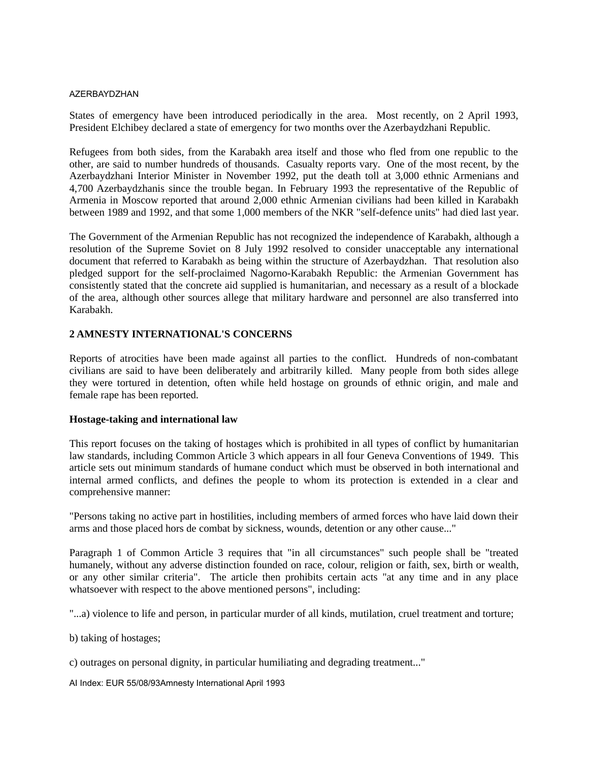States of emergency have been introduced periodically in the area. Most recently, on 2 April 1993, President Elchibey declared a state of emergency for two months over the Azerbaydzhani Republic.

Refugees from both sides, from the Karabakh area itself and those who fled from one republic to the other, are said to number hundreds of thousands. Casualty reports vary. One of the most recent, by the Azerbaydzhani Interior Minister in November 1992, put the death toll at 3,000 ethnic Armenians and 4,700 Azerbaydzhanis since the trouble began. In February 1993 the representative of the Republic of Armenia in Moscow reported that around 2,000 ethnic Armenian civilians had been killed in Karabakh between 1989 and 1992, and that some 1,000 members of the NKR "self-defence units" had died last year.

The Government of the Armenian Republic has not recognized the independence of Karabakh, although a resolution of the Supreme Soviet on 8 July 1992 resolved to consider unacceptable any international document that referred to Karabakh as being within the structure of Azerbaydzhan. That resolution also pledged support for the self-proclaimed Nagorno-Karabakh Republic: the Armenian Government has consistently stated that the concrete aid supplied is humanitarian, and necessary as a result of a blockade of the area, although other sources allege that military hardware and personnel are also transferred into Karabakh.

## **2 AMNESTY INTERNATIONAL'S CONCERNS**

Reports of atrocities have been made against all parties to the conflict. Hundreds of non-combatant civilians are said to have been deliberately and arbitrarily killed. Many people from both sides allege they were tortured in detention, often while held hostage on grounds of ethnic origin, and male and female rape has been reported.

#### **Hostage-taking and international law**

This report focuses on the taking of hostages which is prohibited in all types of conflict by humanitarian law standards, including Common Article 3 which appears in all four Geneva Conventions of 1949. This article sets out minimum standards of humane conduct which must be observed in both international and internal armed conflicts, and defines the people to whom its protection is extended in a clear and comprehensive manner:

"Persons taking no active part in hostilities, including members of armed forces who have laid down their arms and those placed hors de combat by sickness, wounds, detention or any other cause..."

Paragraph 1 of Common Article 3 requires that "in all circumstances" such people shall be "treated humanely, without any adverse distinction founded on race, colour, religion or faith, sex, birth or wealth, or any other similar criteria". The article then prohibits certain acts "at any time and in any place whatsoever with respect to the above mentioned persons", including:

"...a) violence to life and person, in particular murder of all kinds, mutilation, cruel treatment and torture;

b) taking of hostages;

c) outrages on personal dignity, in particular humiliating and degrading treatment..."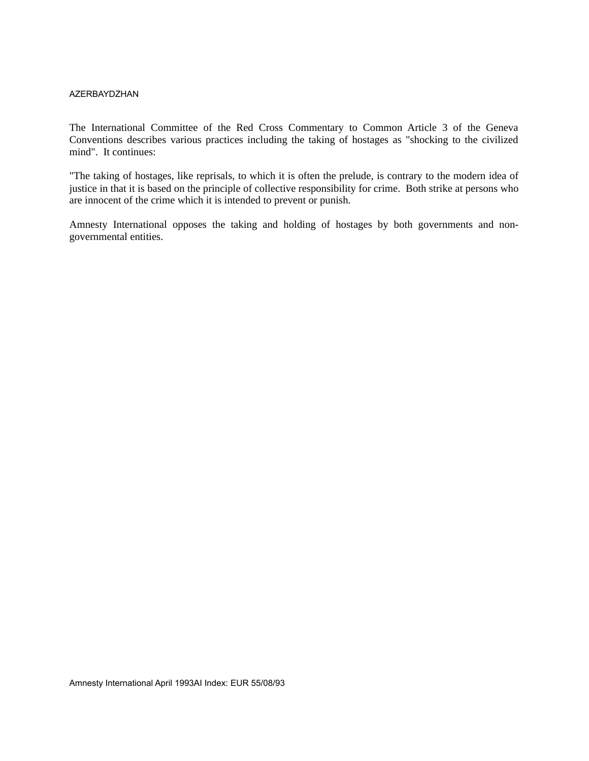The International Committee of the Red Cross Commentary to Common Article 3 of the Geneva Conventions describes various practices including the taking of hostages as "shocking to the civilized mind". It continues:

"The taking of hostages, like reprisals, to which it is often the prelude, is contrary to the modern idea of justice in that it is based on the principle of collective responsibility for crime. Both strike at persons who are innocent of the crime which it is intended to prevent or punish.

Amnesty International opposes the taking and holding of hostages by both governments and nongovernmental entities.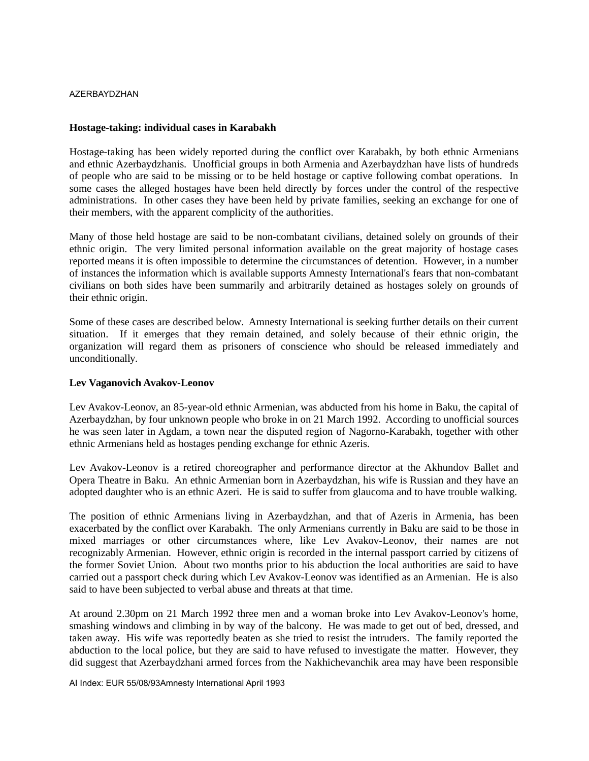### **Hostage-taking: individual cases in Karabakh**

Hostage-taking has been widely reported during the conflict over Karabakh, by both ethnic Armenians and ethnic Azerbaydzhanis. Unofficial groups in both Armenia and Azerbaydzhan have lists of hundreds of people who are said to be missing or to be held hostage or captive following combat operations. In some cases the alleged hostages have been held directly by forces under the control of the respective administrations. In other cases they have been held by private families, seeking an exchange for one of their members, with the apparent complicity of the authorities.

Many of those held hostage are said to be non-combatant civilians, detained solely on grounds of their ethnic origin. The very limited personal information available on the great majority of hostage cases reported means it is often impossible to determine the circumstances of detention. However, in a number of instances the information which is available supports Amnesty International's fears that non-combatant civilians on both sides have been summarily and arbitrarily detained as hostages solely on grounds of their ethnic origin.

Some of these cases are described below. Amnesty International is seeking further details on their current situation. If it emerges that they remain detained, and solely because of their ethnic origin, the organization will regard them as prisoners of conscience who should be released immediately and unconditionally.

### **Lev Vaganovich Avakov-Leonov**

Lev Avakov-Leonov, an 85-year-old ethnic Armenian, was abducted from his home in Baku, the capital of Azerbaydzhan, by four unknown people who broke in on 21 March 1992. According to unofficial sources he was seen later in Agdam, a town near the disputed region of Nagorno-Karabakh, together with other ethnic Armenians held as hostages pending exchange for ethnic Azeris.

Lev Avakov-Leonov is a retired choreographer and performance director at the Akhundov Ballet and Opera Theatre in Baku. An ethnic Armenian born in Azerbaydzhan, his wife is Russian and they have an adopted daughter who is an ethnic Azeri. He is said to suffer from glaucoma and to have trouble walking.

The position of ethnic Armenians living in Azerbaydzhan, and that of Azeris in Armenia, has been exacerbated by the conflict over Karabakh. The only Armenians currently in Baku are said to be those in mixed marriages or other circumstances where, like Lev Avakov-Leonov, their names are not recognizably Armenian. However, ethnic origin is recorded in the internal passport carried by citizens of the former Soviet Union. About two months prior to his abduction the local authorities are said to have carried out a passport check during which Lev Avakov-Leonov was identified as an Armenian. He is also said to have been subjected to verbal abuse and threats at that time.

At around 2.30pm on 21 March 1992 three men and a woman broke into Lev Avakov-Leonov's home, smashing windows and climbing in by way of the balcony. He was made to get out of bed, dressed, and taken away. His wife was reportedly beaten as she tried to resist the intruders. The family reported the abduction to the local police, but they are said to have refused to investigate the matter. However, they did suggest that Azerbaydzhani armed forces from the Nakhichevanchik area may have been responsible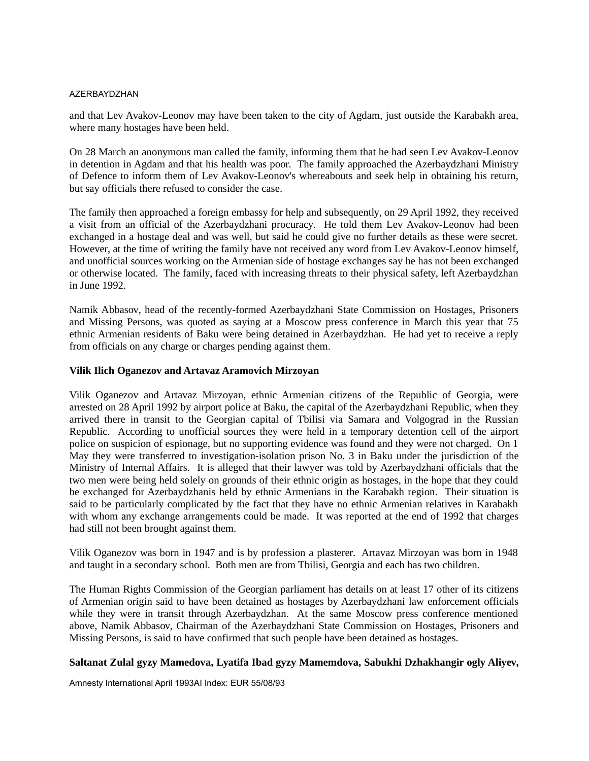and that Lev Avakov-Leonov may have been taken to the city of Agdam, just outside the Karabakh area, where many hostages have been held.

On 28 March an anonymous man called the family, informing them that he had seen Lev Avakov-Leonov in detention in Agdam and that his health was poor. The family approached the Azerbaydzhani Ministry of Defence to inform them of Lev Avakov-Leonov's whereabouts and seek help in obtaining his return, but say officials there refused to consider the case.

The family then approached a foreign embassy for help and subsequently, on 29 April 1992, they received a visit from an official of the Azerbaydzhani procuracy. He told them Lev Avakov-Leonov had been exchanged in a hostage deal and was well, but said he could give no further details as these were secret. However, at the time of writing the family have not received any word from Lev Avakov-Leonov himself, and unofficial sources working on the Armenian side of hostage exchanges say he has not been exchanged or otherwise located. The family, faced with increasing threats to their physical safety, left Azerbaydzhan in June 1992.

Namik Abbasov, head of the recently-formed Azerbaydzhani State Commission on Hostages, Prisoners and Missing Persons, was quoted as saying at a Moscow press conference in March this year that 75 ethnic Armenian residents of Baku were being detained in Azerbaydzhan. He had yet to receive a reply from officials on any charge or charges pending against them.

## **Vilik Ilich Oganezov and Artavaz Aramovich Mirzoyan**

Vilik Oganezov and Artavaz Mirzoyan, ethnic Armenian citizens of the Republic of Georgia, were arrested on 28 April 1992 by airport police at Baku, the capital of the Azerbaydzhani Republic, when they arrived there in transit to the Georgian capital of Tbilisi via Samara and Volgograd in the Russian Republic. According to unofficial sources they were held in a temporary detention cell of the airport police on suspicion of espionage, but no supporting evidence was found and they were not charged. On 1 May they were transferred to investigation-isolation prison No. 3 in Baku under the jurisdiction of the Ministry of Internal Affairs. It is alleged that their lawyer was told by Azerbaydzhani officials that the two men were being held solely on grounds of their ethnic origin as hostages, in the hope that they could be exchanged for Azerbaydzhanis held by ethnic Armenians in the Karabakh region. Their situation is said to be particularly complicated by the fact that they have no ethnic Armenian relatives in Karabakh with whom any exchange arrangements could be made. It was reported at the end of 1992 that charges had still not been brought against them.

Vilik Oganezov was born in 1947 and is by profession a plasterer. Artavaz Mirzoyan was born in 1948 and taught in a secondary school. Both men are from Tbilisi, Georgia and each has two children.

The Human Rights Commission of the Georgian parliament has details on at least 17 other of its citizens of Armenian origin said to have been detained as hostages by Azerbaydzhani law enforcement officials while they were in transit through Azerbaydzhan. At the same Moscow press conference mentioned above, Namik Abbasov, Chairman of the Azerbaydzhani State Commission on Hostages, Prisoners and Missing Persons, is said to have confirmed that such people have been detained as hostages.

## **Saltanat Zulal gyzy Mamedova, Lyatifa Ibad gyzy Mamemdova, Sabukhi Dzhakhangir ogly Aliyev,**

Amnesty International April 1993AI Index: EUR 55/08/93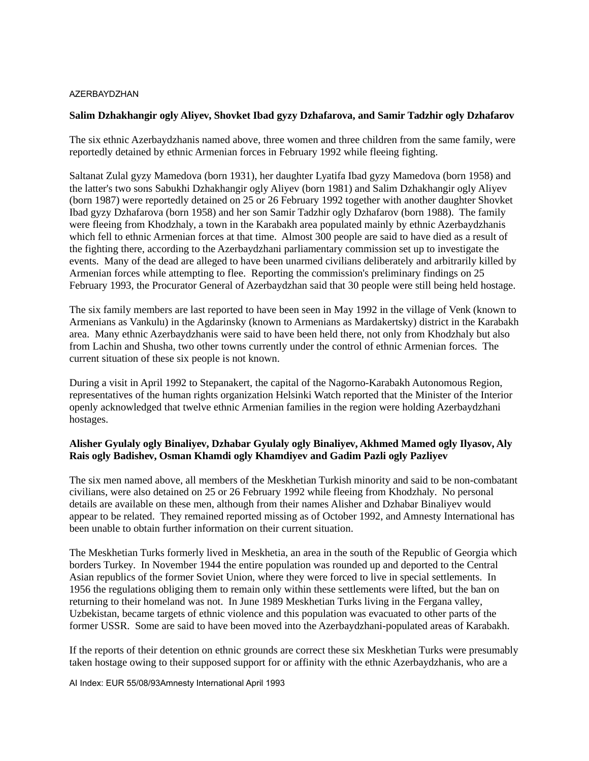### **Salim Dzhakhangir ogly Aliyev, Shovket Ibad gyzy Dzhafarova, and Samir Tadzhir ogly Dzhafarov**

The six ethnic Azerbaydzhanis named above, three women and three children from the same family, were reportedly detained by ethnic Armenian forces in February 1992 while fleeing fighting.

Saltanat Zulal gyzy Mamedova (born 1931), her daughter Lyatifa Ibad gyzy Mamedova (born 1958) and the latter's two sons Sabukhi Dzhakhangir ogly Aliyev (born 1981) and Salim Dzhakhangir ogly Aliyev (born 1987) were reportedly detained on 25 or 26 February 1992 together with another daughter Shovket Ibad gyzy Dzhafarova (born 1958) and her son Samir Tadzhir ogly Dzhafarov (born 1988). The family were fleeing from Khodzhaly, a town in the Karabakh area populated mainly by ethnic Azerbaydzhanis which fell to ethnic Armenian forces at that time. Almost 300 people are said to have died as a result of the fighting there, according to the Azerbaydzhani parliamentary commission set up to investigate the events. Many of the dead are alleged to have been unarmed civilians deliberately and arbitrarily killed by Armenian forces while attempting to flee. Reporting the commission's preliminary findings on 25 February 1993, the Procurator General of Azerbaydzhan said that 30 people were still being held hostage.

The six family members are last reported to have been seen in May 1992 in the village of Venk (known to Armenians as Vankulu) in the Agdarinsky (known to Armenians as Mardakertsky) district in the Karabakh area. Many ethnic Azerbaydzhanis were said to have been held there, not only from Khodzhaly but also from Lachin and Shusha, two other towns currently under the control of ethnic Armenian forces. The current situation of these six people is not known.

During a visit in April 1992 to Stepanakert, the capital of the Nagorno-Karabakh Autonomous Region, representatives of the human rights organization Helsinki Watch reported that the Minister of the Interior openly acknowledged that twelve ethnic Armenian families in the region were holding Azerbaydzhani hostages.

# **Alisher Gyulaly ogly Binaliyev, Dzhabar Gyulaly ogly Binaliyev, Akhmed Mamed ogly Ilyasov, Aly Rais ogly Badishev, Osman Khamdi ogly Khamdiyev and Gadim Pazli ogly Pazliyev**

The six men named above, all members of the Meskhetian Turkish minority and said to be non-combatant civilians, were also detained on 25 or 26 February 1992 while fleeing from Khodzhaly. No personal details are available on these men, although from their names Alisher and Dzhabar Binaliyev would appear to be related. They remained reported missing as of October 1992, and Amnesty International has been unable to obtain further information on their current situation.

The Meskhetian Turks formerly lived in Meskhetia, an area in the south of the Republic of Georgia which borders Turkey. In November 1944 the entire population was rounded up and deported to the Central Asian republics of the former Soviet Union, where they were forced to live in special settlements. In 1956 the regulations obliging them to remain only within these settlements were lifted, but the ban on returning to their homeland was not. In June 1989 Meskhetian Turks living in the Fergana valley, Uzbekistan, became targets of ethnic violence and this population was evacuated to other parts of the former USSR. Some are said to have been moved into the Azerbaydzhani-populated areas of Karabakh.

If the reports of their detention on ethnic grounds are correct these six Meskhetian Turks were presumably taken hostage owing to their supposed support for or affinity with the ethnic Azerbaydzhanis, who are a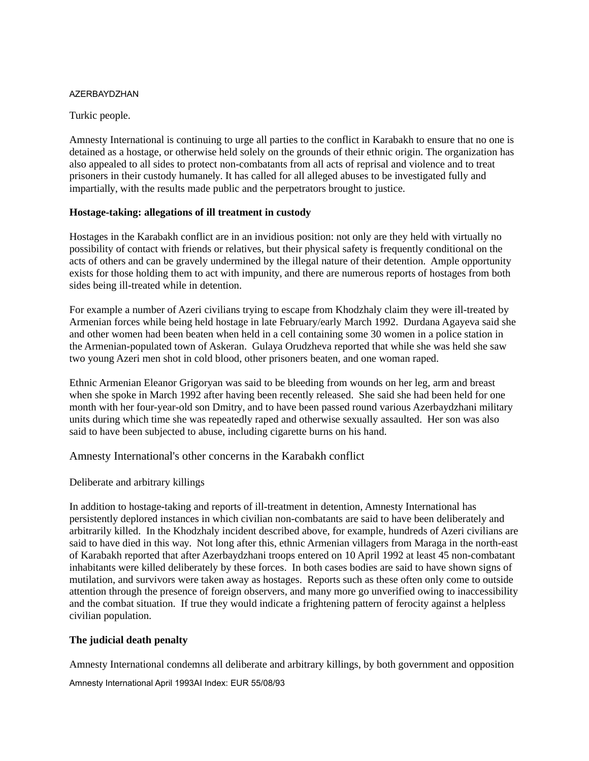Turkic people.

Amnesty International is continuing to urge all parties to the conflict in Karabakh to ensure that no one is detained as a hostage, or otherwise held solely on the grounds of their ethnic origin. The organization has also appealed to all sides to protect non-combatants from all acts of reprisal and violence and to treat prisoners in their custody humanely. It has called for all alleged abuses to be investigated fully and impartially, with the results made public and the perpetrators brought to justice.

## **Hostage-taking: allegations of ill treatment in custody**

Hostages in the Karabakh conflict are in an invidious position: not only are they held with virtually no possibility of contact with friends or relatives, but their physical safety is frequently conditional on the acts of others and can be gravely undermined by the illegal nature of their detention. Ample opportunity exists for those holding them to act with impunity, and there are numerous reports of hostages from both sides being ill-treated while in detention.

For example a number of Azeri civilians trying to escape from Khodzhaly claim they were ill-treated by Armenian forces while being held hostage in late February/early March 1992. Durdana Agayeva said she and other women had been beaten when held in a cell containing some 30 women in a police station in the Armenian-populated town of Askeran. Gulaya Orudzheva reported that while she was held she saw two young Azeri men shot in cold blood, other prisoners beaten, and one woman raped.

Ethnic Armenian Eleanor Grigoryan was said to be bleeding from wounds on her leg, arm and breast when she spoke in March 1992 after having been recently released. She said she had been held for one month with her four-year-old son Dmitry, and to have been passed round various Azerbaydzhani military units during which time she was repeatedly raped and otherwise sexually assaulted. Her son was also said to have been subjected to abuse, including cigarette burns on his hand.

Amnesty International's other concerns in the Karabakh conflict

Deliberate and arbitrary killings

In addition to hostage-taking and reports of ill-treatment in detention, Amnesty International has persistently deplored instances in which civilian non-combatants are said to have been deliberately and arbitrarily killed. In the Khodzhaly incident described above, for example, hundreds of Azeri civilians are said to have died in this way. Not long after this, ethnic Armenian villagers from Maraga in the north-east of Karabakh reported that after Azerbaydzhani troops entered on 10 April 1992 at least 45 non-combatant inhabitants were killed deliberately by these forces. In both cases bodies are said to have shown signs of mutilation, and survivors were taken away as hostages. Reports such as these often only come to outside attention through the presence of foreign observers, and many more go unverified owing to inaccessibility and the combat situation. If true they would indicate a frightening pattern of ferocity against a helpless civilian population.

# **The judicial death penalty**

Amnesty International condemns all deliberate and arbitrary killings, by both government and opposition

Amnesty International April 1993AI Index: EUR 55/08/93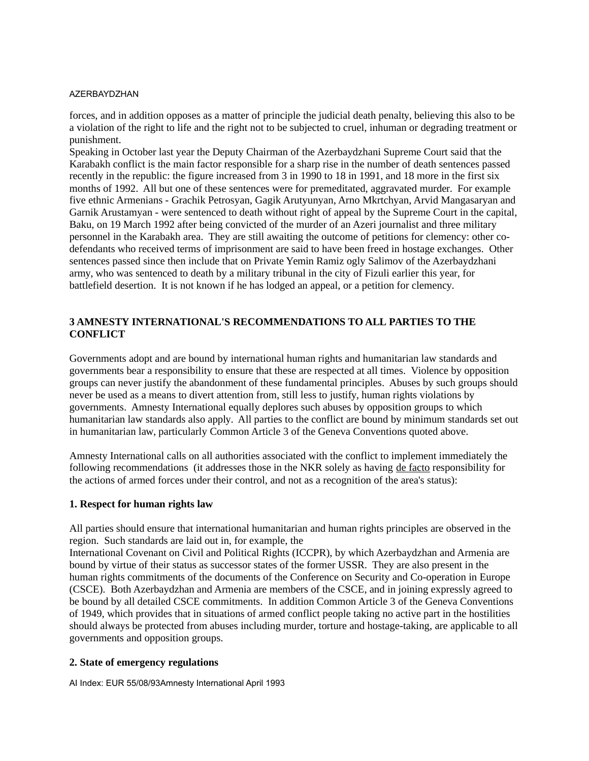forces, and in addition opposes as a matter of principle the judicial death penalty, believing this also to be a violation of the right to life and the right not to be subjected to cruel, inhuman or degrading treatment or punishment.

Speaking in October last year the Deputy Chairman of the Azerbaydzhani Supreme Court said that the Karabakh conflict is the main factor responsible for a sharp rise in the number of death sentences passed recently in the republic: the figure increased from 3 in 1990 to 18 in 1991, and 18 more in the first six months of 1992. All but one of these sentences were for premeditated, aggravated murder. For example five ethnic Armenians - Grachik Petrosyan, Gagik Arutyunyan, Arno Mkrtchyan, Arvid Mangasaryan and Garnik Arustamyan - were sentenced to death without right of appeal by the Supreme Court in the capital, Baku, on 19 March 1992 after being convicted of the murder of an Azeri journalist and three military personnel in the Karabakh area. They are still awaiting the outcome of petitions for clemency: other codefendants who received terms of imprisonment are said to have been freed in hostage exchanges. Other sentences passed since then include that on Private Yemin Ramiz ogly Salimov of the Azerbaydzhani army, who was sentenced to death by a military tribunal in the city of Fizuli earlier this year, for battlefield desertion. It is not known if he has lodged an appeal, or a petition for clemency.

# **3 AMNESTY INTERNATIONAL'S RECOMMENDATIONS TO ALL PARTIES TO THE CONFLICT**

Governments adopt and are bound by international human rights and humanitarian law standards and governments bear a responsibility to ensure that these are respected at all times. Violence by opposition groups can never justify the abandonment of these fundamental principles. Abuses by such groups should never be used as a means to divert attention from, still less to justify, human rights violations by governments. Amnesty International equally deplores such abuses by opposition groups to which humanitarian law standards also apply. All parties to the conflict are bound by minimum standards set out in humanitarian law, particularly Common Article 3 of the Geneva Conventions quoted above.

Amnesty International calls on all authorities associated with the conflict to implement immediately the following recommendations (it addresses those in the NKR solely as having de facto responsibility for the actions of armed forces under their control, and not as a recognition of the area's status):

#### **1. Respect for human rights law**

All parties should ensure that international humanitarian and human rights principles are observed in the region. Such standards are laid out in, for example, the

International Covenant on Civil and Political Rights (ICCPR), by which Azerbaydzhan and Armenia are bound by virtue of their status as successor states of the former USSR. They are also present in the human rights commitments of the documents of the Conference on Security and Co-operation in Europe (CSCE). Both Azerbaydzhan and Armenia are members of the CSCE, and in joining expressly agreed to be bound by all detailed CSCE commitments. In addition Common Article 3 of the Geneva Conventions of 1949, which provides that in situations of armed conflict people taking no active part in the hostilities should always be protected from abuses including murder, torture and hostage-taking, are applicable to all governments and opposition groups.

#### **2. State of emergency regulations**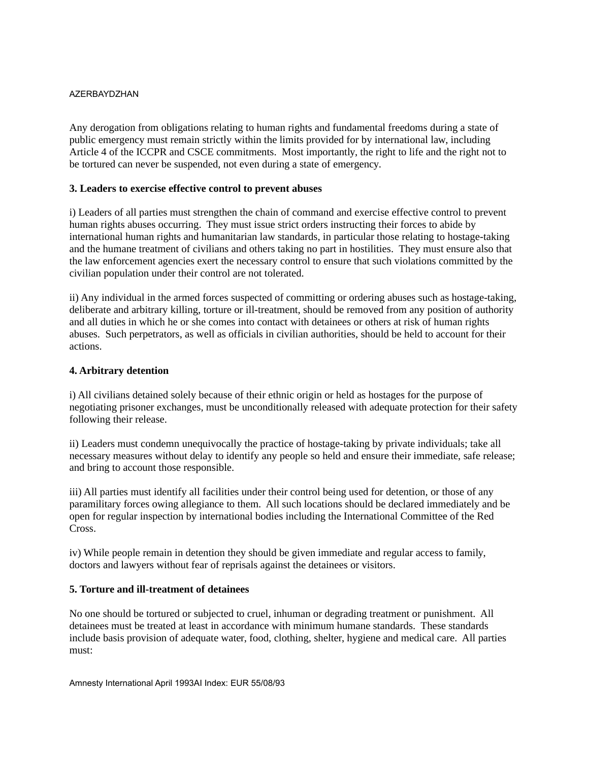Any derogation from obligations relating to human rights and fundamental freedoms during a state of public emergency must remain strictly within the limits provided for by international law, including Article 4 of the ICCPR and CSCE commitments. Most importantly, the right to life and the right not to be tortured can never be suspended, not even during a state of emergency.

# **3. Leaders to exercise effective control to prevent abuses**

i) Leaders of all parties must strengthen the chain of command and exercise effective control to prevent human rights abuses occurring. They must issue strict orders instructing their forces to abide by international human rights and humanitarian law standards, in particular those relating to hostage-taking and the humane treatment of civilians and others taking no part in hostilities. They must ensure also that the law enforcement agencies exert the necessary control to ensure that such violations committed by the civilian population under their control are not tolerated.

ii) Any individual in the armed forces suspected of committing or ordering abuses such as hostage-taking, deliberate and arbitrary killing, torture or ill-treatment, should be removed from any position of authority and all duties in which he or she comes into contact with detainees or others at risk of human rights abuses. Such perpetrators, as well as officials in civilian authorities, should be held to account for their actions.

## **4. Arbitrary detention**

i) All civilians detained solely because of their ethnic origin or held as hostages for the purpose of negotiating prisoner exchanges, must be unconditionally released with adequate protection for their safety following their release.

ii) Leaders must condemn unequivocally the practice of hostage-taking by private individuals; take all necessary measures without delay to identify any people so held and ensure their immediate, safe release; and bring to account those responsible.

iii) All parties must identify all facilities under their control being used for detention, or those of any paramilitary forces owing allegiance to them. All such locations should be declared immediately and be open for regular inspection by international bodies including the International Committee of the Red Cross.

iv) While people remain in detention they should be given immediate and regular access to family, doctors and lawyers without fear of reprisals against the detainees or visitors.

#### **5. Torture and ill-treatment of detainees**

No one should be tortured or subjected to cruel, inhuman or degrading treatment or punishment. All detainees must be treated at least in accordance with minimum humane standards. These standards include basis provision of adequate water, food, clothing, shelter, hygiene and medical care. All parties must: